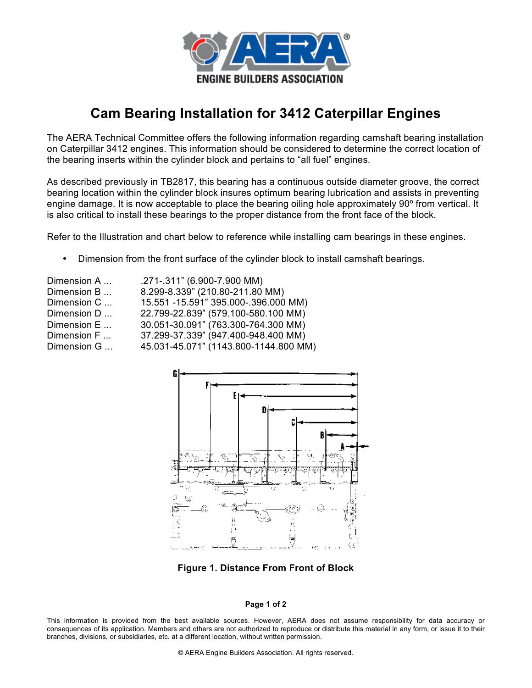

## **Cam Bearing Installation for 3412 Caterpillar Engines**

The AERA Technical Committee offers the following information regarding camshaft bearing installation on Caterpillar 3412 engines. This information should be considered to determine the correct location of the bearing inserts within the cylinder block and pertains to "all fuel" engines.

As described previously in TB2817, this bearing has a continuous outside diameter groove, the correct bearing location within the cylinder block insures optimum bearing lubrication and assists in preventing engine damage. It is now acceptable to place the bearing oiling hole approximately 90º from vertical. It is also critical to install these bearings to the proper distance from the front face of the block.

Refer to the Illustration and chart below to reference while installing cam bearings in these engines.

• Dimension from the front surface of the cylinder block to install camshaft bearings.

| Dimension A | .271-.311" (6.900-7.900 MM)           |
|-------------|---------------------------------------|
| Dimension B | 8.299-8.339" (210.80-211.80 MM)       |
| Dimension C | 15.551 -15.591" 395.000-.396.000 MM)  |
| Dimension D | 22.799-22.839" (579.100-580.100 MM)   |
| Dimension E | 30.051-30.091" (763.300-764.300 MM)   |
| Dimension F | 37.299-37.339" (947.400-948.400 MM)   |
| Dimension G | 45.031-45.071" (1143.800-1144.800 MM) |
|             |                                       |



**Figure 1. Distance From Front of Block**

## **Page 1 of 2**

This information is provided from the best available sources. However, AERA does not assume responsibility for data accuracy or consequences of its application. Members and others are not authorized to reproduce or distribute this material in any form, or issue it to their branches, divisions, or subsidiaries, etc. at a different location, without written permission.